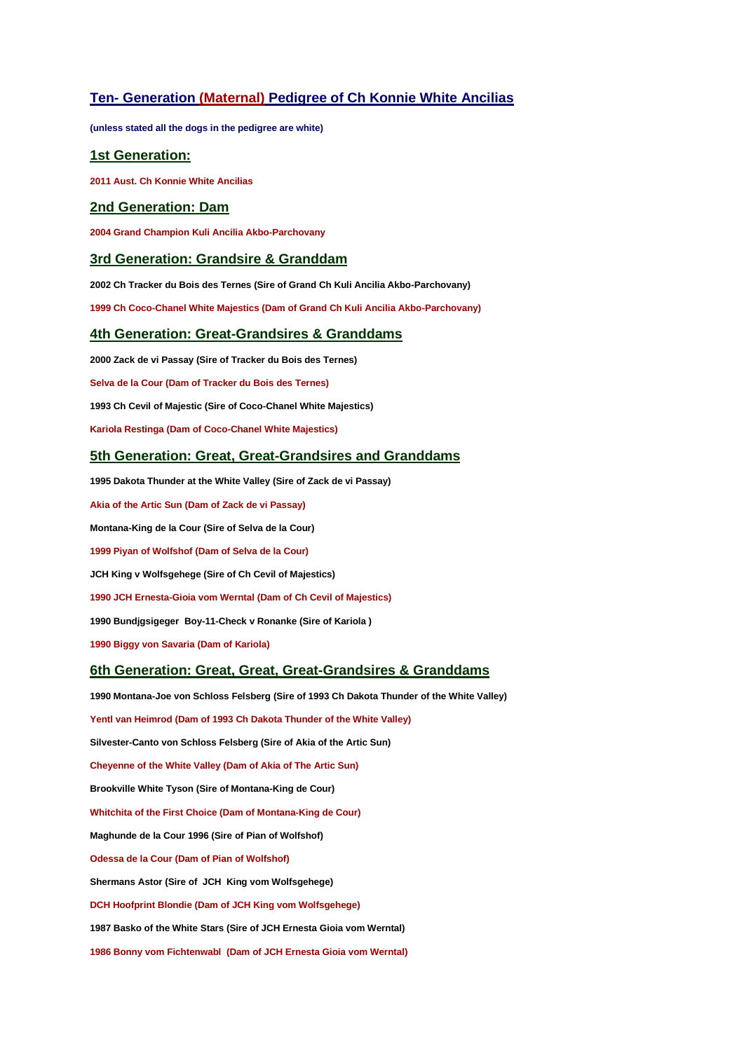# **Ten- Generation (Maternal) Pedigree of Ch Konnie White Ancilias**

**(unless stated all the dogs in the pedigree are white)**

## **1st Generation:**

**2011 Aust. Ch Konnie White Ancilias**

#### **2nd Generation: Dam**

**2004 Grand Champion Kuli Ancilia Akbo-Parchovany**

## **3rd Generation: Grandsire & Granddam**

**2002 Ch Tracker du Bois des Ternes (Sire of Grand Ch Kuli Ancilia Akbo-Parchovany)**

**1999 Ch Coco-Chanel White Majestics (Dam of Grand Ch Kuli Ancilia Akbo-Parchovany)**

# **4th Generation: Great-Grandsires & Granddams**

**2000 Zack de vi Passay (Sire of Tracker du Bois des Ternes)**

**Selva de la Cour (Dam of Tracker du Bois des Ternes)**

**1993 Ch Cevil of Majestic (Sire of Coco-Chanel White Majestics)**

**Kariola Restinga (Dam of Coco-Chanel White Majestics)**

#### **5th Generation: Great, Great-Grandsires and Granddams**

**1995 Dakota Thunder at the White Valley (Sire of Zack de vi Passay)**

**Akia of the Artic Sun (Dam of Zack de vi Passay)**

**Montana-King de la Cour (Sire of Selva de la Cour)**

**1999 Piyan of Wolfshof (Dam of Selva de la Cour)**

**JCH King v Wolfsgehege (Sire of Ch Cevil of Majestics)**

**1990 JCH Ernesta-Gioia vom Werntal (Dam of Ch Cevil of Majestics)**

**1990 Bundjgsigeger Boy-11-Check v Ronanke (Sire of Kariola )**

**1990 Biggy von Savaria (Dam of Kariola)**

#### **6th Generation: Great, Great, Great-Grandsires & Granddams**

**1990 Montana-Joe von Schloss Felsberg (Sire of 1993 Ch Dakota Thunder of the White Valley) Yentl van Heimrod (Dam of 1993 Ch Dakota Thunder of the White Valley) Silvester-Canto von Schloss Felsberg (Sire of Akia of the Artic Sun) Cheyenne of the White Valley (Dam of Akia of The Artic Sun) Brookville White Tyson (Sire of Montana-King de Cour) Whitchita of the First Choice (Dam of Montana-King de Cour) Maghunde de la Cour 1996 (Sire of Pian of Wolfshof) Odessa de la Cour (Dam of Pian of Wolfshof) Shermans Astor (Sire of JCH King vom Wolfsgehege) DCH Hoofprint Blondie (Dam of JCH King vom Wolfsgehege) 1987 Basko of the White Stars (Sire of JCH Ernesta Gioia vom Werntal) 1986 Bonny vom Fichtenwabl (Dam of JCH Ernesta Gioia vom Werntal)**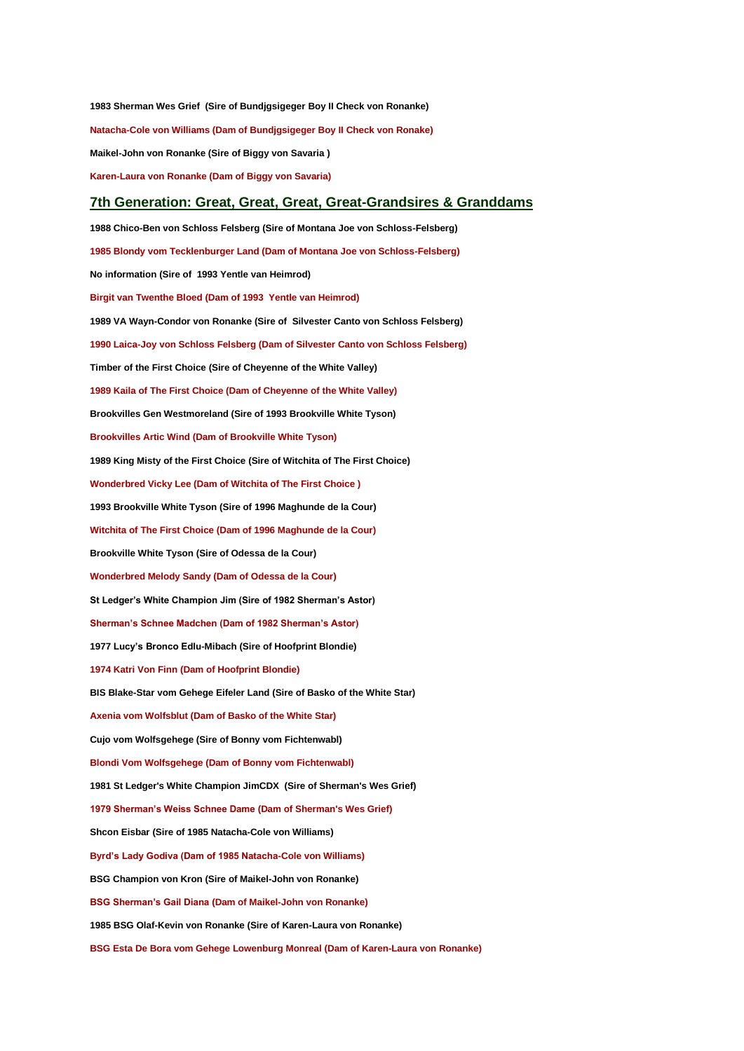**1983 Sherman Wes Grief (Sire of Bundjgsigeger Boy II Check von Ronanke) Natacha-Cole von Williams (Dam of Bundjgsigeger Boy II Check von Ronake) Maikel-John von Ronanke (Sire of Biggy von Savaria ) Karen-Laura von Ronanke (Dam of Biggy von Savaria)**

#### **7th Generation: Great, Great, Great, Great-Grandsires & Granddams**

**1988 Chico-Ben von Schloss Felsberg (Sire of Montana Joe von Schloss-Felsberg) 1985 Blondy vom Tecklenburger Land (Dam of Montana Joe von Schloss-Felsberg) No information (Sire of 1993 Yentle van Heimrod) Birgit van Twenthe Bloed (Dam of 1993 Yentle van Heimrod) 1989 VA Wayn-Condor von Ronanke (Sire of Silvester Canto von Schloss Felsberg) 1990 Laica-Joy von Schloss Felsberg (Dam of Silvester Canto von Schloss Felsberg) Timber of the First Choice (Sire of Cheyenne of the White Valley) 1989 Kaila of The First Choice (Dam of Cheyenne of the White Valley) Brookvilles Gen Westmoreland (Sire of 1993 Brookville White Tyson) Brookvilles Artic Wind (Dam of Brookville White Tyson) 1989 King Misty of the First Choice (Sire of Witchita of The First Choice) Wonderbred Vicky Lee (Dam of Witchita of The First Choice ) 1993 Brookville White Tyson (Sire of 1996 Maghunde de la Cour) Witchita of The First Choice (Dam of 1996 Maghunde de la Cour) Brookville White Tyson (Sire of Odessa de la Cour) Wonderbred Melody Sandy (Dam of Odessa de la Cour) St Ledger's White Champion Jim (Sire of 1982 Sherman's Astor) Sherman's Schnee Madchen (Dam of 1982 Sherman's Astor) 1977 Lucy's Bronco Edlu-Mibach (Sire of Hoofprint Blondie) 1974 Katri Von Finn (Dam of Hoofprint Blondie) BIS Blake-Star vom Gehege Eifeler Land (Sire of Basko of the White Star) Axenia vom Wolfsblut (Dam of Basko of the White Star) Cujo vom Wolfsgehege (Sire of Bonny vom Fichtenwabl) Blondi Vom Wolfsgehege (Dam of Bonny vom Fichtenwabl) 1981 St Ledger's White Champion JimCDX (Sire of Sherman's Wes Grief) 1979 Sherman's Weiss Schnee Dame (Dam of Sherman's Wes Grief) Shcon Eisbar (Sire of 1985 Natacha-Cole von Williams) Byrd's Lady Godiva (Dam of 1985 Natacha-Cole von Williams) BSG Champion von Kron (Sire of Maikel-John von Ronanke) BSG Sherman's Gail Diana (Dam of Maikel-John von Ronanke) 1985 BSG Olaf-Kevin von Ronanke (Sire of Karen-Laura von Ronanke) BSG Esta De Bora vom Gehege Lowenburg Monreal (Dam of Karen-Laura von Ronanke)**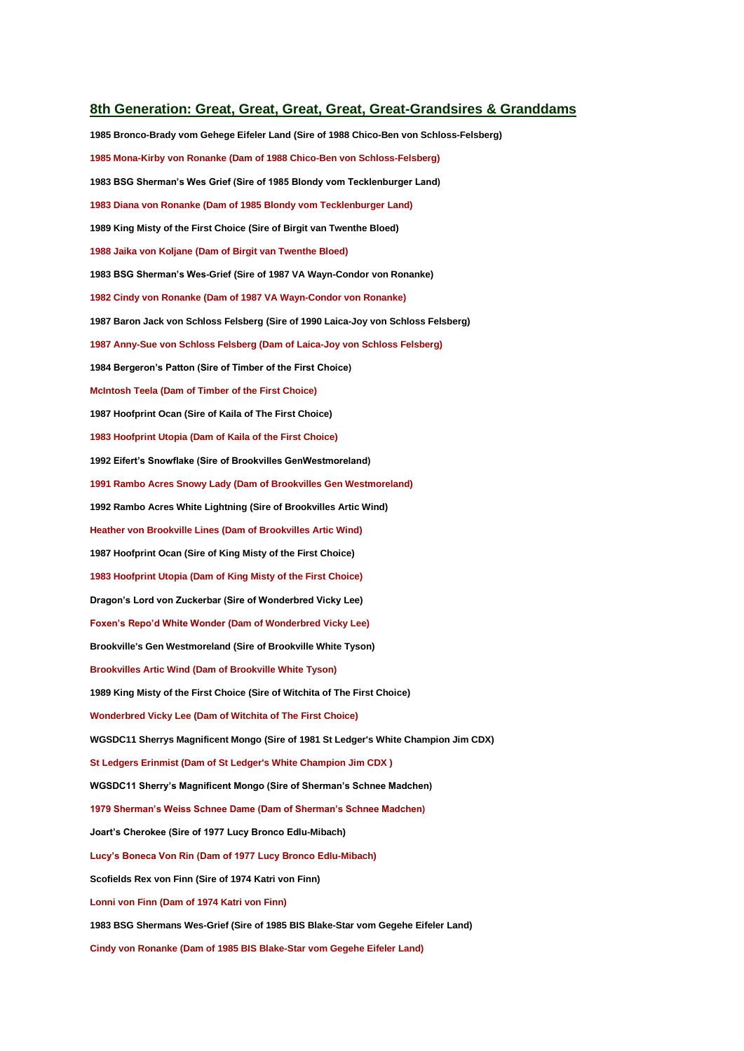#### **8th Generation: Great, Great, Great, Great, Great-Grandsires & Granddams**

**1985 Bronco-Brady vom Gehege Eifeler Land (Sire of 1988 Chico-Ben von Schloss-Felsberg) 1985 Mona-Kirby von Ronanke (Dam of 1988 Chico-Ben von Schloss-Felsberg) 1983 BSG Sherman's Wes Grief (Sire of 1985 Blondy vom Tecklenburger Land) 1983 Diana von Ronanke (Dam of 1985 Blondy vom Tecklenburger Land) 1989 King Misty of the First Choice (Sire of Birgit van Twenthe Bloed) 1988 Jaika von Koljane (Dam of Birgit van Twenthe Bloed) 1983 BSG Sherman's Wes-Grief (Sire of 1987 VA Wayn-Condor von Ronanke) 1982 Cindy von Ronanke (Dam of 1987 VA Wayn-Condor von Ronanke) 1987 Baron Jack von Schloss Felsberg (Sire of 1990 Laica-Joy von Schloss Felsberg) 1987 Anny-Sue von Schloss Felsberg (Dam of Laica-Joy von Schloss Felsberg) 1984 Bergeron's Patton (Sire of Timber of the First Choice) McIntosh Teela (Dam of Timber of the First Choice) 1987 Hoofprint Ocan (Sire of Kaila of The First Choice) 1983 Hoofprint Utopia (Dam of Kaila of the First Choice) 1992 Eifert's Snowflake (Sire of Brookvilles GenWestmoreland) 1991 Rambo Acres Snowy Lady (Dam of Brookvilles Gen Westmoreland) 1992 Rambo Acres White Lightning (Sire of Brookvilles Artic Wind) Heather von Brookville Lines (Dam of Brookvilles Artic Wind) 1987 Hoofprint Ocan (Sire of King Misty of the First Choice) 1983 Hoofprint Utopia (Dam of King Misty of the First Choice) Dragon's Lord von Zuckerbar (Sire of Wonderbred Vicky Lee) Foxen's Repo'd White Wonder (Dam of Wonderbred Vicky Lee) Brookville's Gen Westmoreland (Sire of Brookville White Tyson) Brookvilles Artic Wind (Dam of Brookville White Tyson) 1989 King Misty of the First Choice (Sire of Witchita of The First Choice) Wonderbred Vicky Lee (Dam of Witchita of The First Choice) WGSDC11 Sherrys Magnificent Mongo (Sire of 1981 St Ledger's White Champion Jim CDX) St Ledgers Erinmist (Dam of St Ledger's White Champion Jim CDX ) WGSDC11 Sherry's Magnificent Mongo (Sire of Sherman's Schnee Madchen) 1979 Sherman's Weiss Schnee Dame (Dam of Sherman's Schnee Madchen) Joart's Cherokee (Sire of 1977 Lucy Bronco Edlu-Mibach) Lucy's Boneca Von Rin (Dam of 1977 Lucy Bronco Edlu-Mibach) Scofields Rex von Finn (Sire of 1974 Katri von Finn) Lonni von Finn (Dam of 1974 Katri von Finn) 1983 BSG Shermans Wes-Grief (Sire of 1985 BIS Blake-Star vom Gegehe Eifeler Land) Cindy von Ronanke (Dam of 1985 BIS Blake-Star vom Gegehe Eifeler Land)**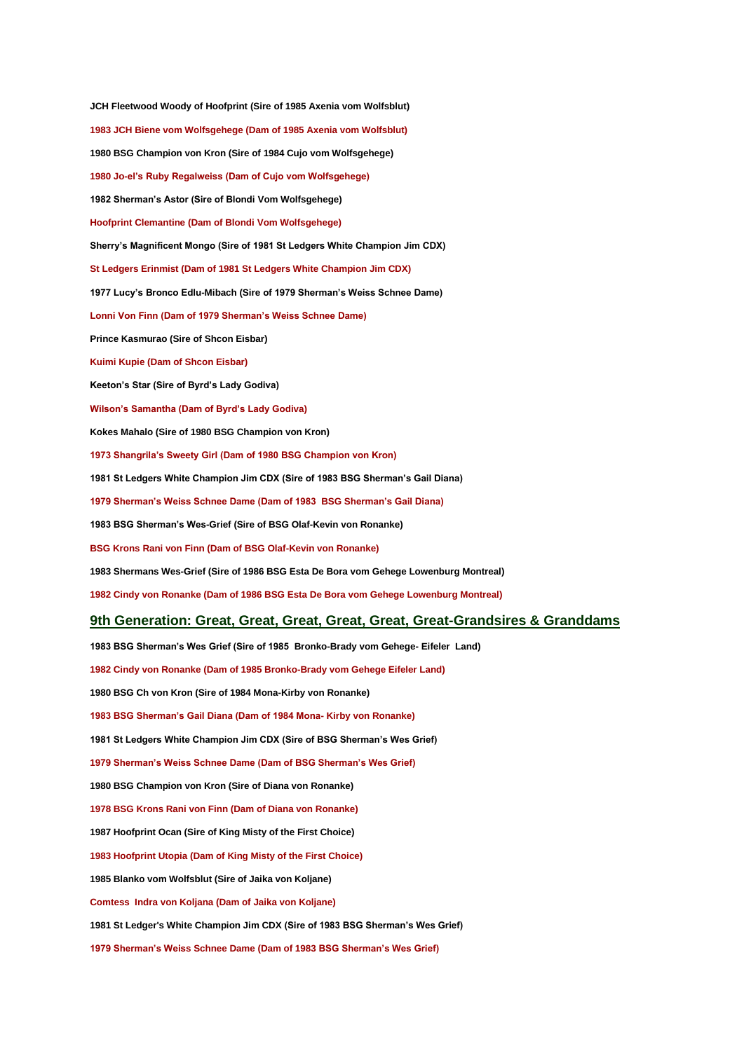**JCH Fleetwood Woody of Hoofprint (Sire of 1985 Axenia vom Wolfsblut) 1983 JCH Biene vom Wolfsgehege (Dam of 1985 Axenia vom Wolfsblut) 1980 BSG Champion von Kron (Sire of 1984 Cujo vom Wolfsgehege) 1980 Jo-el's Ruby Regalweiss (Dam of Cujo vom Wolfsgehege) 1982 Sherman's Astor (Sire of Blondi Vom Wolfsgehege) Hoofprint Clemantine (Dam of Blondi Vom Wolfsgehege) Sherry's Magnificent Mongo (Sire of 1981 St Ledgers White Champion Jim CDX) St Ledgers Erinmist (Dam of 1981 St Ledgers White Champion Jim CDX) 1977 Lucy's Bronco Edlu-Mibach (Sire of 1979 Sherman's Weiss Schnee Dame) Lonni Von Finn (Dam of 1979 Sherman's Weiss Schnee Dame) Prince Kasmurao (Sire of Shcon Eisbar) Kuimi Kupie (Dam of Shcon Eisbar) Keeton's Star (Sire of Byrd's Lady Godiva) Wilson's Samantha (Dam of Byrd's Lady Godiva) Kokes Mahalo (Sire of 1980 BSG Champion von Kron) 1973 Shangrila's Sweety Girl (Dam of 1980 BSG Champion von Kron) 1981 St Ledgers White Champion Jim CDX (Sire of 1983 BSG Sherman's Gail Diana) 1979 Sherman's Weiss Schnee Dame (Dam of 1983 BSG Sherman's Gail Diana) 1983 BSG Sherman's Wes-Grief (Sire of BSG Olaf-Kevin von Ronanke) BSG Krons Rani von Finn (Dam of BSG Olaf-Kevin von Ronanke) 1983 Shermans Wes-Grief (Sire of 1986 BSG Esta De Bora vom Gehege Lowenburg Montreal) 1982 Cindy von Ronanke (Dam of 1986 BSG Esta De Bora vom Gehege Lowenburg Montreal) 9th Generation: Great, Great, Great, Great, Great, Great-Grandsires & Granddams 1983 BSG Sherman's Wes Grief (Sire of 1985 Bronko-Brady vom Gehege- Eifeler Land)**

**1982 Cindy von Ronanke (Dam of 1985 Bronko-Brady vom Gehege Eifeler Land) 1980 BSG Ch von Kron (Sire of 1984 Mona-Kirby von Ronanke) 1983 BSG Sherman's Gail Diana (Dam of 1984 Mona- Kirby von Ronanke) 1981 St Ledgers White Champion Jim CDX (Sire of BSG Sherman's Wes Grief) 1979 Sherman's Weiss Schnee Dame (Dam of BSG Sherman's Wes Grief) 1980 BSG Champion von Kron (Sire of Diana von Ronanke) 1978 BSG Krons Rani von Finn (Dam of Diana von Ronanke) 1987 Hoofprint Ocan (Sire of King Misty of the First Choice) 1983 Hoofprint Utopia (Dam of King Misty of the First Choice) 1985 Blanko vom Wolfsblut (Sire of Jaika von Koljane) Comtess Indra von Koljana (Dam of Jaika von Koljane) 1981 St Ledger's White Champion Jim CDX (Sire of 1983 BSG Sherman's Wes Grief) 1979 Sherman's Weiss Schnee Dame (Dam of 1983 BSG Sherman's Wes Grief)**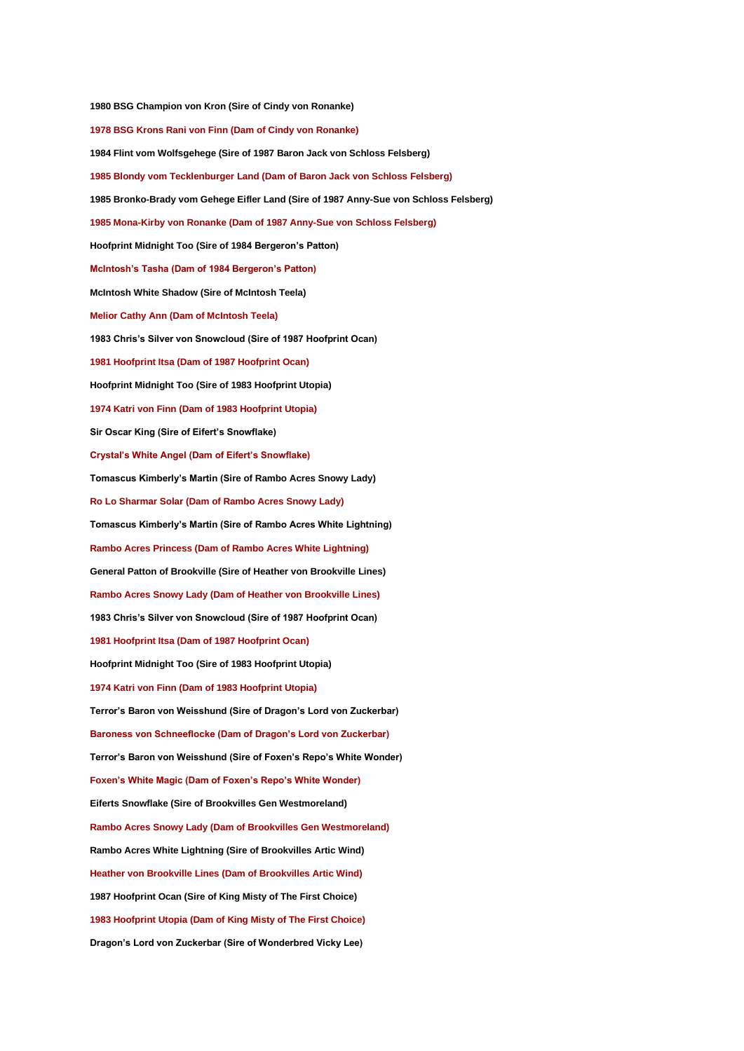**1980 BSG Champion von Kron (Sire of Cindy von Ronanke) 1978 BSG Krons Rani von Finn (Dam of Cindy von Ronanke) 1984 Flint vom Wolfsgehege (Sire of 1987 Baron Jack von Schloss Felsberg) 1985 Blondy vom Tecklenburger Land (Dam of Baron Jack von Schloss Felsberg) 1985 Bronko-Brady vom Gehege Eifler Land (Sire of 1987 Anny-Sue von Schloss Felsberg) 1985 Mona-Kirby von Ronanke (Dam of 1987 Anny-Sue von Schloss Felsberg) Hoofprint Midnight Too (Sire of 1984 Bergeron's Patton) McIntosh's Tasha (Dam of 1984 Bergeron's Patton) McIntosh White Shadow (Sire of McIntosh Teela) Melior Cathy Ann (Dam of McIntosh Teela) 1983 Chris's Silver von Snowcloud (Sire of 1987 Hoofprint Ocan) 1981 Hoofprint Itsa (Dam of 1987 Hoofprint Ocan) Hoofprint Midnight Too (Sire of 1983 Hoofprint Utopia) 1974 Katri von Finn (Dam of 1983 Hoofprint Utopia) Sir Oscar King (Sire of Eifert's Snowflake) Crystal's White Angel (Dam of Eifert's Snowflake) Tomascus Kimberly's Martin (Sire of Rambo Acres Snowy Lady) Ro Lo Sharmar Solar (Dam of Rambo Acres Snowy Lady) Tomascus Kimberly's Martin (Sire of Rambo Acres White Lightning) Rambo Acres Princess (Dam of Rambo Acres White Lightning) General Patton of Brookville (Sire of Heather von Brookville Lines) Rambo Acres Snowy Lady (Dam of Heather von Brookville Lines) 1983 Chris's Silver von Snowcloud (Sire of 1987 Hoofprint Ocan) 1981 Hoofprint Itsa (Dam of 1987 Hoofprint Ocan) Hoofprint Midnight Too (Sire of 1983 Hoofprint Utopia) 1974 Katri von Finn (Dam of 1983 Hoofprint Utopia) Terror's Baron von Weisshund (Sire of Dragon's Lord von Zuckerbar) Baroness von Schneeflocke (Dam of Dragon's Lord von Zuckerbar) Terror's Baron von Weisshund (Sire of Foxen's Repo's White Wonder) Foxen's White Magic (Dam of Foxen's Repo's White Wonder) Eiferts Snowflake (Sire of Brookvilles Gen Westmoreland) Rambo Acres Snowy Lady (Dam of Brookvilles Gen Westmoreland) Rambo Acres White Lightning (Sire of Brookvilles Artic Wind) Heather von Brookville Lines (Dam of Brookvilles Artic Wind) 1987 Hoofprint Ocan (Sire of King Misty of The First Choice) 1983 Hoofprint Utopia (Dam of King Misty of The First Choice) Dragon's Lord von Zuckerbar (Sire of Wonderbred Vicky Lee)**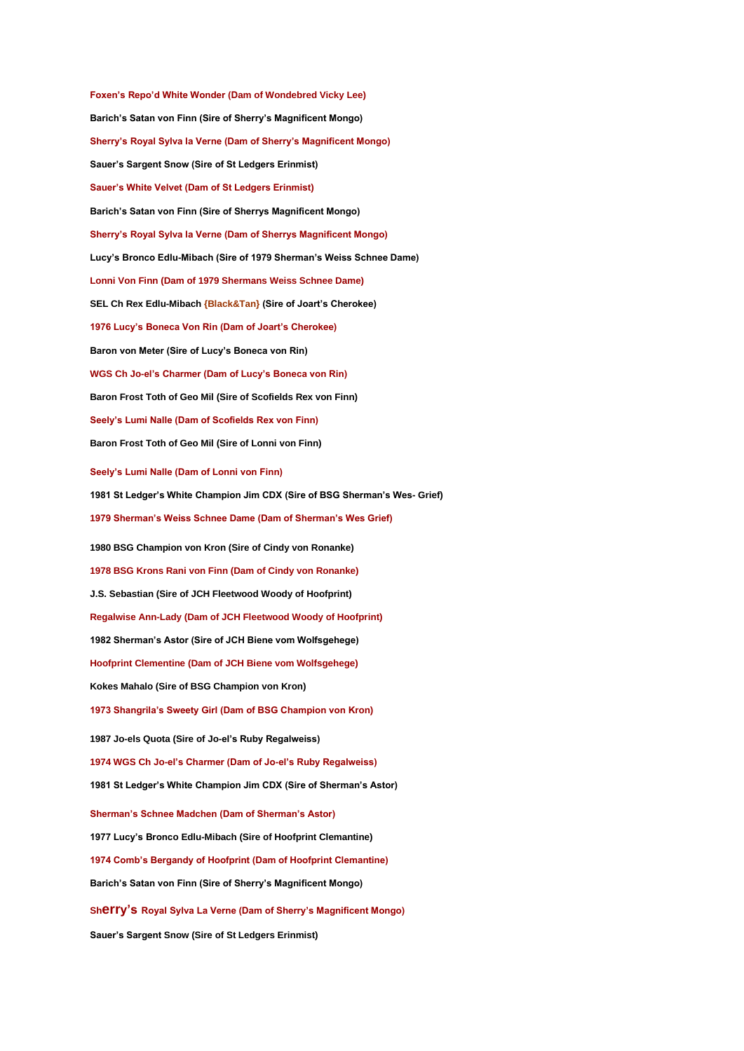**Foxen's Repo'd White Wonder (Dam of Wondebred Vicky Lee) Barich's Satan von Finn (Sire of Sherry's Magnificent Mongo) Sherry's Royal Sylva la Verne (Dam of Sherry's Magnificent Mongo) Sauer's Sargent Snow (Sire of St Ledgers Erinmist) Sauer's White Velvet (Dam of St Ledgers Erinmist) Barich's Satan von Finn (Sire of Sherrys Magnificent Mongo) Sherry's Royal Sylva la Verne (Dam of Sherrys Magnificent Mongo) Lucy's Bronco Edlu-Mibach (Sire of 1979 Sherman's Weiss Schnee Dame) Lonni Von Finn (Dam of 1979 Shermans Weiss Schnee Dame) SEL Ch Rex Edlu-Mibach {Black&Tan} (Sire of Joart's Cherokee) 1976 Lucy's Boneca Von Rin (Dam of Joart's Cherokee) Baron von Meter (Sire of Lucy's Boneca von Rin) WGS Ch Jo-el's Charmer (Dam of Lucy's Boneca von Rin) Baron Frost Toth of Geo Mil (Sire of Scofields Rex von Finn) Seely's Lumi Nalle (Dam of Scofields Rex von Finn) Baron Frost Toth of Geo Mil (Sire of Lonni von Finn) Seely's Lumi Nalle (Dam of Lonni von Finn) 1981 St Ledger's White Champion Jim CDX (Sire of BSG Sherman's Wes- Grief) 1979 Sherman's Weiss Schnee Dame (Dam of Sherman's Wes Grief) 1980 BSG Champion von Kron (Sire of Cindy von Ronanke) 1978 BSG Krons Rani von Finn (Dam of Cindy von Ronanke) J.S. Sebastian (Sire of JCH Fleetwood Woody of Hoofprint) Regalwise Ann-Lady (Dam of JCH Fleetwood Woody of Hoofprint) 1982 Sherman's Astor (Sire of JCH Biene vom Wolfsgehege) Hoofprint Clementine (Dam of JCH Biene vom Wolfsgehege) Kokes Mahalo (Sire of BSG Champion von Kron) 1973 Shangrila's Sweety Girl (Dam of BSG Champion von Kron) 1987 Jo-els Quota (Sire of Jo-el's Ruby Regalweiss) 1974 WGS Ch Jo-el's Charmer (Dam of Jo-el's Ruby Regalweiss) 1981 St Ledger's White Champion Jim CDX (Sire of Sherman's Astor) Sherman's Schnee Madchen (Dam of Sherman's Astor) 1977 Lucy's Bronco Edlu-Mibach (Sire of Hoofprint Clemantine) 1974 Comb's Bergandy of Hoofprint (Dam of Hoofprint Clemantine) Barich's Satan von Finn (Sire of Sherry's Magnificent Mongo) Sherry's Royal Sylva La Verne (Dam of Sherry's Magnificent Mongo) Sauer's Sargent Snow (Sire of St Ledgers Erinmist)**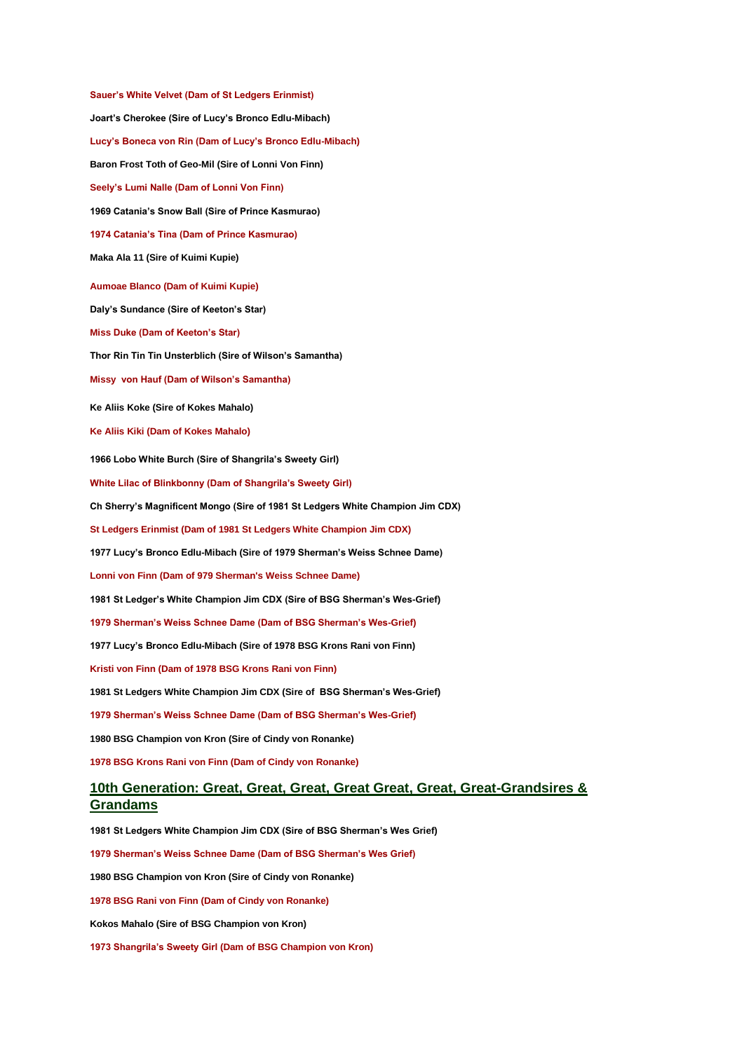**Sauer's White Velvet (Dam of St Ledgers Erinmist) Joart's Cherokee (Sire of Lucy's Bronco Edlu-Mibach) Lucy's Boneca von Rin (Dam of Lucy's Bronco Edlu-Mibach) Baron Frost Toth of Geo-Mil (Sire of Lonni Von Finn) Seely's Lumi Nalle (Dam of Lonni Von Finn) 1969 Catania's Snow Ball (Sire of Prince Kasmurao) 1974 Catania's Tina (Dam of Prince Kasmurao) Maka Ala 11 (Sire of Kuimi Kupie) Aumoae Blanco (Dam of Kuimi Kupie) Daly's Sundance (Sire of Keeton's Star) Miss Duke (Dam of Keeton's Star) Thor Rin Tin Tin Unsterblich (Sire of Wilson's Samantha) Missy von Hauf (Dam of Wilson's Samantha) Ke Aliis Koke (Sire of Kokes Mahalo) Ke Aliis Kiki (Dam of Kokes Mahalo) 1966 Lobo White Burch (Sire of Shangrila's Sweety Girl) White Lilac of Blinkbonny (Dam of Shangrila's Sweety Girl) Ch Sherry's Magnificent Mongo (Sire of 1981 St Ledgers White Champion Jim CDX) St Ledgers Erinmist (Dam of 1981 St Ledgers White Champion Jim CDX) 1977 Lucy's Bronco Edlu-Mibach (Sire of 1979 Sherman's Weiss Schnee Dame) Lonni von Finn (Dam of 979 Sherman's Weiss Schnee Dame) 1981 St Ledger's White Champion Jim CDX (Sire of BSG Sherman's Wes-Grief) 1979 Sherman's Weiss Schnee Dame (Dam of BSG Sherman's Wes-Grief) 1977 Lucy's Bronco Edlu-Mibach (Sire of 1978 BSG Krons Rani von Finn) Kristi von Finn (Dam of 1978 BSG Krons Rani von Finn) 1981 St Ledgers White Champion Jim CDX (Sire of BSG Sherman's Wes-Grief) 1979 Sherman's Weiss Schnee Dame (Dam of BSG Sherman's Wes-Grief) 1980 BSG Champion von Kron (Sire of Cindy von Ronanke) 1978 BSG Krons Rani von Finn (Dam of Cindy von Ronanke) 10th Generation: Great, Great, Great, Great Great, Great, Great-Grandsires & Grandams 1981 St Ledgers White Champion Jim CDX (Sire of BSG Sherman's Wes Grief) 1979 Sherman's Weiss Schnee Dame (Dam of BSG Sherman's Wes Grief) 1980 BSG Champion von Kron (Sire of Cindy von Ronanke) 1978 BSG Rani von Finn (Dam of Cindy von Ronanke)**

**Kokos Mahalo (Sire of BSG Champion von Kron)**

**1973 Shangrila's Sweety Girl (Dam of BSG Champion von Kron)**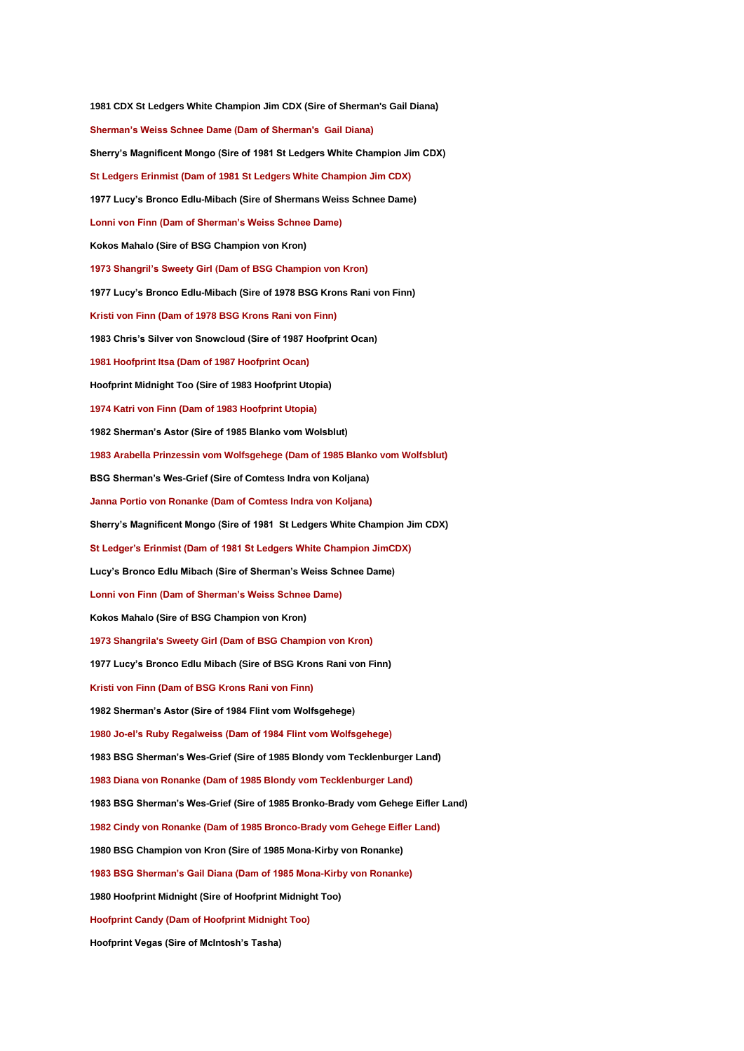**1981 CDX St Ledgers White Champion Jim CDX (Sire of Sherman's Gail Diana) Sherman's Weiss Schnee Dame (Dam of Sherman's Gail Diana) Sherry's Magnificent Mongo (Sire of 1981 St Ledgers White Champion Jim CDX) St Ledgers Erinmist (Dam of 1981 St Ledgers White Champion Jim CDX) 1977 Lucy's Bronco Edlu-Mibach (Sire of Shermans Weiss Schnee Dame) Lonni von Finn (Dam of Sherman's Weiss Schnee Dame) Kokos Mahalo (Sire of BSG Champion von Kron) 1973 Shangril's Sweety Girl (Dam of BSG Champion von Kron) 1977 Lucy's Bronco Edlu-Mibach (Sire of 1978 BSG Krons Rani von Finn) Kristi von Finn (Dam of 1978 BSG Krons Rani von Finn) 1983 Chris's Silver von Snowcloud (Sire of 1987 Hoofprint Ocan) 1981 Hoofprint Itsa (Dam of 1987 Hoofprint Ocan) Hoofprint Midnight Too (Sire of 1983 Hoofprint Utopia) 1974 Katri von Finn (Dam of 1983 Hoofprint Utopia) 1982 Sherman's Astor (Sire of 1985 Blanko vom Wolsblut) 1983 Arabella Prinzessin vom Wolfsgehege (Dam of 1985 Blanko vom Wolfsblut) BSG Sherman's Wes-Grief (Sire of Comtess Indra von Koljana) Janna Portio von Ronanke (Dam of Comtess Indra von Koljana) Sherry's Magnificent Mongo (Sire of 1981 St Ledgers White Champion Jim CDX) St Ledger's Erinmist (Dam of 1981 St Ledgers White Champion JimCDX) Lucy's Bronco Edlu Mibach (Sire of Sherman's Weiss Schnee Dame) Lonni von Finn (Dam of Sherman's Weiss Schnee Dame) Kokos Mahalo (Sire of BSG Champion von Kron) 1973 Shangrila's Sweety Girl (Dam of BSG Champion von Kron) 1977 Lucy's Bronco Edlu Mibach (Sire of BSG Krons Rani von Finn) Kristi von Finn (Dam of BSG Krons Rani von Finn) 1982 Sherman's Astor (Sire of 1984 Flint vom Wolfsgehege) 1980 Jo-el's Ruby Regalweiss (Dam of 1984 Flint vom Wolfsgehege) 1983 BSG Sherman's Wes-Grief (Sire of 1985 Blondy vom Tecklenburger Land) 1983 Diana von Ronanke (Dam of 1985 Blondy vom Tecklenburger Land) 1983 BSG Sherman's Wes-Grief (Sire of 1985 Bronko-Brady vom Gehege Eifler Land) 1982 Cindy von Ronanke (Dam of 1985 Bronco-Brady vom Gehege Eifler Land) 1980 BSG Champion von Kron (Sire of 1985 Mona-Kirby von Ronanke) 1983 BSG Sherman's Gail Diana (Dam of 1985 Mona-Kirby von Ronanke) 1980 Hoofprint Midnight (Sire of Hoofprint Midnight Too) Hoofprint Candy (Dam of Hoofprint Midnight Too) Hoofprint Vegas (Sire of McIntosh's Tasha)**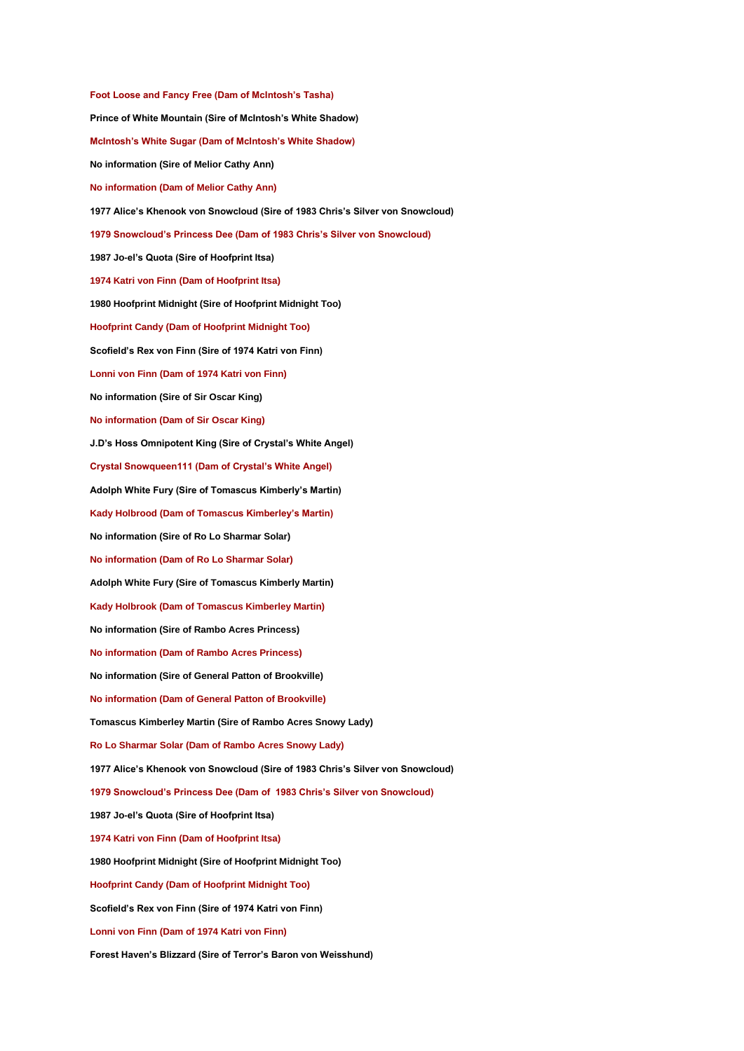**Foot Loose and Fancy Free (Dam of McIntosh's Tasha) Prince of White Mountain (Sire of McIntosh's White Shadow) McIntosh's White Sugar (Dam of McIntosh's White Shadow) No information (Sire of Melior Cathy Ann) No information (Dam of Melior Cathy Ann) 1977 Alice's Khenook von Snowcloud (Sire of 1983 Chris's Silver von Snowcloud) 1979 Snowcloud's Princess Dee (Dam of 1983 Chris's Silver von Snowcloud) 1987 Jo-el's Quota (Sire of Hoofprint Itsa) 1974 Katri von Finn (Dam of Hoofprint Itsa) 1980 Hoofprint Midnight (Sire of Hoofprint Midnight Too) Hoofprint Candy (Dam of Hoofprint Midnight Too) Scofield's Rex von Finn (Sire of 1974 Katri von Finn) Lonni von Finn (Dam of 1974 Katri von Finn) No information (Sire of Sir Oscar King) No information (Dam of Sir Oscar King) J.D's Hoss Omnipotent King (Sire of Crystal's White Angel) Crystal Snowqueen111 (Dam of Crystal's White Angel) Adolph White Fury (Sire of Tomascus Kimberly's Martin) Kady Holbrood (Dam of Tomascus Kimberley's Martin) No information (Sire of Ro Lo Sharmar Solar) No information (Dam of Ro Lo Sharmar Solar) Adolph White Fury (Sire of Tomascus Kimberly Martin) Kady Holbrook (Dam of Tomascus Kimberley Martin) No information (Sire of Rambo Acres Princess) No information (Dam of Rambo Acres Princess) No information (Sire of General Patton of Brookville) No information (Dam of General Patton of Brookville) Tomascus Kimberley Martin (Sire of Rambo Acres Snowy Lady) Ro Lo Sharmar Solar (Dam of Rambo Acres Snowy Lady) 1977 Alice's Khenook von Snowcloud (Sire of 1983 Chris's Silver von Snowcloud) 1979 Snowcloud's Princess Dee (Dam of 1983 Chris's Silver von Snowcloud) 1987 Jo-el's Quota (Sire of Hoofprint Itsa) 1974 Katri von Finn (Dam of Hoofprint Itsa) 1980 Hoofprint Midnight (Sire of Hoofprint Midnight Too) Hoofprint Candy (Dam of Hoofprint Midnight Too) Scofield's Rex von Finn (Sire of 1974 Katri von Finn) Lonni von Finn (Dam of 1974 Katri von Finn) Forest Haven's Blizzard (Sire of Terror's Baron von Weisshund)**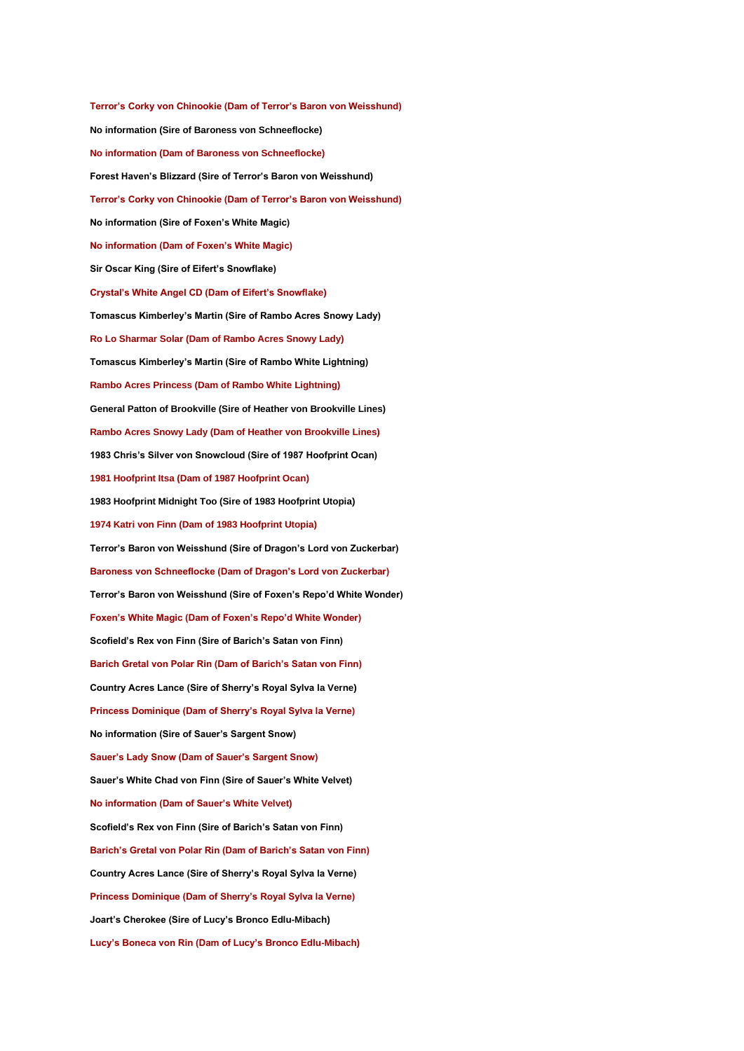**Terror's Corky von Chinookie (Dam of Terror's Baron von Weisshund) No information (Sire of Baroness von Schneeflocke) No information (Dam of Baroness von Schneeflocke) Forest Haven's Blizzard (Sire of Terror's Baron von Weisshund) Terror's Corky von Chinookie (Dam of Terror's Baron von Weisshund) No information (Sire of Foxen's White Magic) No information (Dam of Foxen's White Magic) Sir Oscar King (Sire of Eifert's Snowflake) Crystal's White Angel CD (Dam of Eifert's Snowflake) Tomascus Kimberley's Martin (Sire of Rambo Acres Snowy Lady) Ro Lo Sharmar Solar (Dam of Rambo Acres Snowy Lady) Tomascus Kimberley's Martin (Sire of Rambo White Lightning) Rambo Acres Princess (Dam of Rambo White Lightning) General Patton of Brookville (Sire of Heather von Brookville Lines) Rambo Acres Snowy Lady (Dam of Heather von Brookville Lines) 1983 Chris's Silver von Snowcloud (Sire of 1987 Hoofprint Ocan) 1981 Hoofprint Itsa (Dam of 1987 Hoofprint Ocan) 1983 Hoofprint Midnight Too (Sire of 1983 Hoofprint Utopia) 1974 Katri von Finn (Dam of 1983 Hoofprint Utopia) Terror's Baron von Weisshund (Sire of Dragon's Lord von Zuckerbar) Baroness von Schneeflocke (Dam of Dragon's Lord von Zuckerbar) Terror's Baron von Weisshund (Sire of Foxen's Repo'd White Wonder) Foxen's White Magic (Dam of Foxen's Repo'd White Wonder) Scofield's Rex von Finn (Sire of Barich's Satan von Finn) Barich Gretal von Polar Rin (Dam of Barich's Satan von Finn) Country Acres Lance (Sire of Sherry's Royal Sylva la Verne) Princess Dominique (Dam of Sherry's Royal Sylva la Verne) No information (Sire of Sauer's Sargent Snow) Sauer's Lady Snow (Dam of Sauer's Sargent Snow) Sauer's White Chad von Finn (Sire of Sauer's White Velvet) No information (Dam of Sauer's White Velvet) Scofield's Rex von Finn (Sire of Barich's Satan von Finn) Barich's Gretal von Polar Rin (Dam of Barich's Satan von Finn) Country Acres Lance (Sire of Sherry's Royal Sylva la Verne) Princess Dominique (Dam of Sherry's Royal Sylva la Verne) Joart's Cherokee (Sire of Lucy's Bronco Edlu-Mibach) Lucy's Boneca von Rin (Dam of Lucy's Bronco Edlu-Mibach)**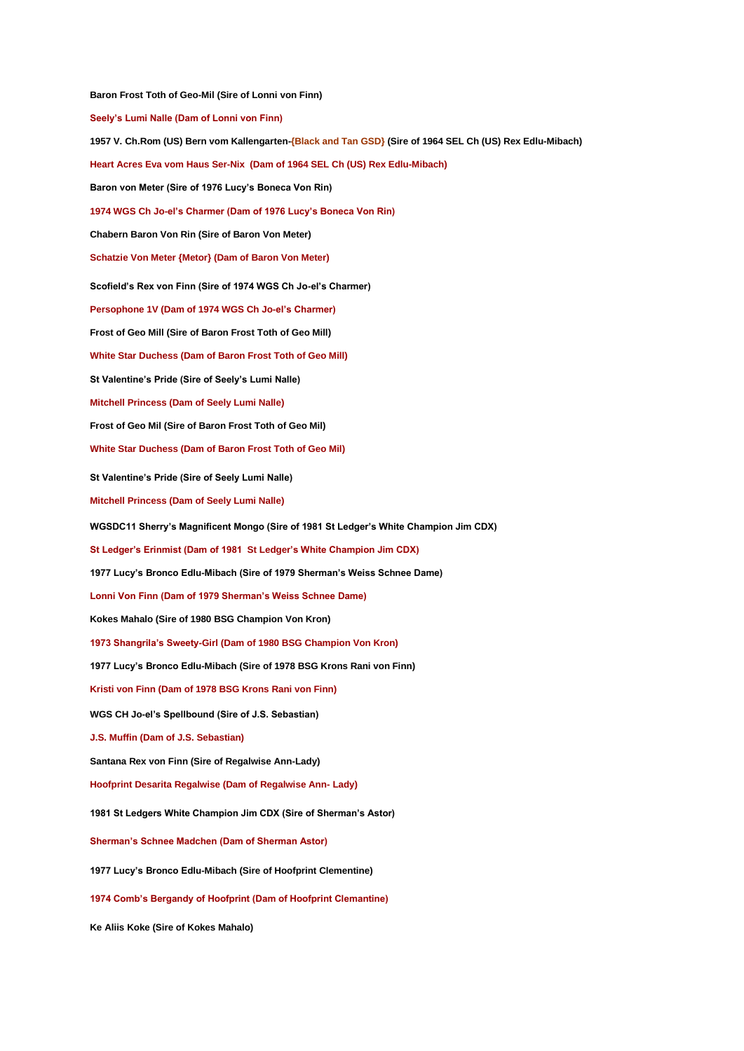**Baron Frost Toth of Geo-Mil (Sire of Lonni von Finn) Seely's Lumi Nalle (Dam of Lonni von Finn) 1957 V. Ch.Rom (US) Bern vom Kallengarten-{Black and Tan GSD} (Sire of 1964 SEL Ch (US) Rex Edlu-Mibach) Heart Acres Eva vom Haus Ser-Nix (Dam of 1964 SEL Ch (US) Rex Edlu-Mibach) Baron von Meter (Sire of 1976 Lucy's Boneca Von Rin) 1974 WGS Ch Jo-el's Charmer (Dam of 1976 Lucy's Boneca Von Rin) Chabern Baron Von Rin (Sire of Baron Von Meter) Schatzie Von Meter {Metor} (Dam of Baron Von Meter) Scofield's Rex von Finn (Sire of 1974 WGS Ch Jo-el's Charmer) Persophone 1V (Dam of 1974 WGS Ch Jo-el's Charmer) Frost of Geo Mill (Sire of Baron Frost Toth of Geo Mill) White Star Duchess (Dam of Baron Frost Toth of Geo Mill) St Valentine's Pride (Sire of Seely's Lumi Nalle) Mitchell Princess (Dam of Seely Lumi Nalle) Frost of Geo Mil (Sire of Baron Frost Toth of Geo Mil) White Star Duchess (Dam of Baron Frost Toth of Geo Mil) St Valentine's Pride (Sire of Seely Lumi Nalle) Mitchell Princess (Dam of Seely Lumi Nalle) WGSDC11 Sherry's Magnificent Mongo (Sire of 1981 St Ledger's White Champion Jim CDX) St Ledger's Erinmist (Dam of 1981 St Ledger's White Champion Jim CDX) 1977 Lucy's Bronco Edlu-Mibach (Sire of 1979 Sherman's Weiss Schnee Dame) Lonni Von Finn (Dam of 1979 Sherman's Weiss Schnee Dame) Kokes Mahalo (Sire of 1980 BSG Champion Von Kron) 1973 Shangrila's Sweety-Girl (Dam of 1980 BSG Champion Von Kron) 1977 Lucy's Bronco Edlu-Mibach (Sire of 1978 BSG Krons Rani von Finn) Kristi von Finn (Dam of 1978 BSG Krons Rani von Finn) WGS CH Jo-el's Spellbound (Sire of J.S. Sebastian) J.S. Muffin (Dam of J.S. Sebastian) Santana Rex von Finn (Sire of Regalwise Ann-Lady) Hoofprint Desarita Regalwise (Dam of Regalwise Ann- Lady) 1981 St Ledgers White Champion Jim CDX (Sire of Sherman's Astor) Sherman's Schnee Madchen (Dam of Sherman Astor) 1977 Lucy's Bronco Edlu-Mibach (Sire of Hoofprint Clementine) 1974 Comb's Bergandy of Hoofprint (Dam of Hoofprint Clemantine)**

**Ke Aliis Koke (Sire of Kokes Mahalo)**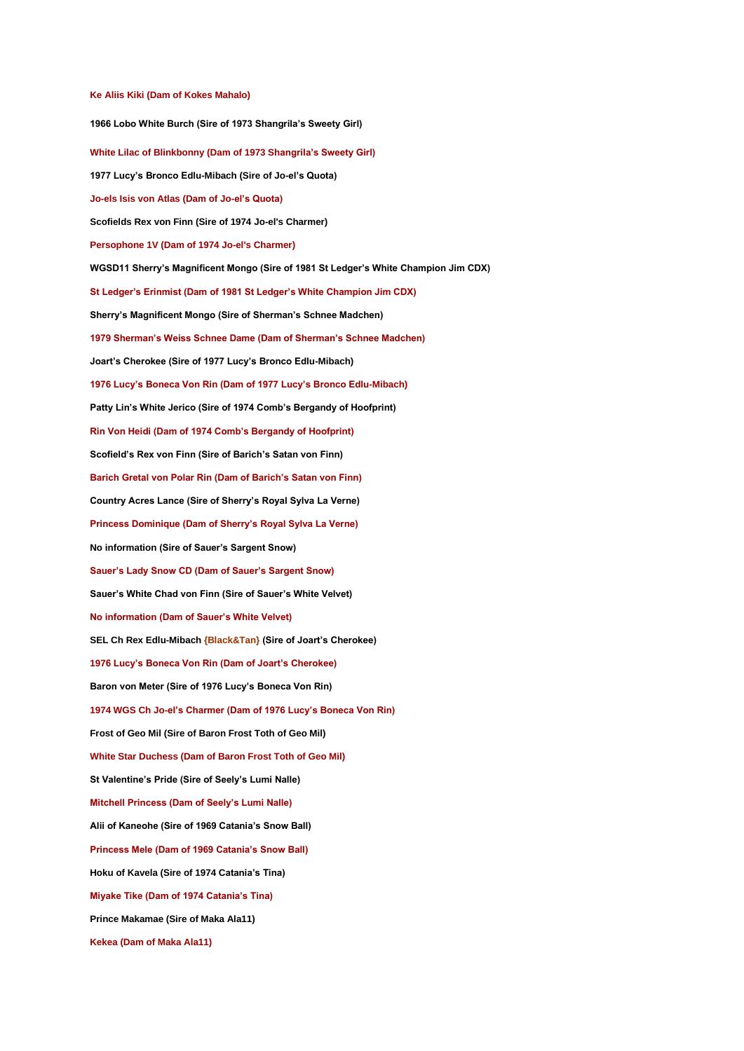#### **Ke Aliis Kiki (Dam of Kokes Mahalo)**

**1966 Lobo White Burch (Sire of 1973 Shangrila's Sweety Girl) White Lilac of Blinkbonny (Dam of 1973 Shangrila's Sweety Girl) 1977 Lucy's Bronco Edlu-Mibach (Sire of Jo-el's Quota) Jo-els Isis von Atlas (Dam of Jo-el's Quota) Scofields Rex von Finn (Sire of 1974 Jo-el's Charmer) Persophone 1V (Dam of 1974 Jo-el's Charmer) WGSD11 Sherry's Magnificent Mongo (Sire of 1981 St Ledger's White Champion Jim CDX) St Ledger's Erinmist (Dam of 1981 St Ledger's White Champion Jim CDX) Sherry's Magnificent Mongo (Sire of Sherman's Schnee Madchen) 1979 Sherman's Weiss Schnee Dame (Dam of Sherman's Schnee Madchen) Joart's Cherokee (Sire of 1977 Lucy's Bronco Edlu-Mibach) 1976 Lucy's Boneca Von Rin (Dam of 1977 Lucy's Bronco Edlu-Mibach) Patty Lin's White Jerico (Sire of 1974 Comb's Bergandy of Hoofprint) Rin Von Heidi (Dam of 1974 Comb's Bergandy of Hoofprint) Scofield's Rex von Finn (Sire of Barich's Satan von Finn) Barich Gretal von Polar Rin (Dam of Barich's Satan von Finn) Country Acres Lance (Sire of Sherry's Royal Sylva La Verne) Princess Dominique (Dam of Sherry's Royal Sylva La Verne) No information (Sire of Sauer's Sargent Snow) Sauer's Lady Snow CD (Dam of Sauer's Sargent Snow) Sauer's White Chad von Finn (Sire of Sauer's White Velvet) No information (Dam of Sauer's White Velvet) SEL Ch Rex Edlu-Mibach {Black&Tan} (Sire of Joart's Cherokee) 1976 Lucy's Boneca Von Rin (Dam of Joart's Cherokee) Baron von Meter (Sire of 1976 Lucy's Boneca Von Rin) 1974 WGS Ch Jo-el's Charmer (Dam of 1976 Lucy's Boneca Von Rin) Frost of Geo Mil (Sire of Baron Frost Toth of Geo Mil) White Star Duchess (Dam of Baron Frost Toth of Geo Mil) St Valentine's Pride (Sire of Seely's Lumi Nalle) Mitchell Princess (Dam of Seely's Lumi Nalle) Alii of Kaneohe (Sire of 1969 Catania's Snow Ball) Princess Mele (Dam of 1969 Catania's Snow Ball) Hoku of Kavela (Sire of 1974 Catania's Tina) Miyake Tike (Dam of 1974 Catania's Tina) Prince Makamae (Sire of Maka Ala11)**

**Kekea (Dam of Maka Ala11)**